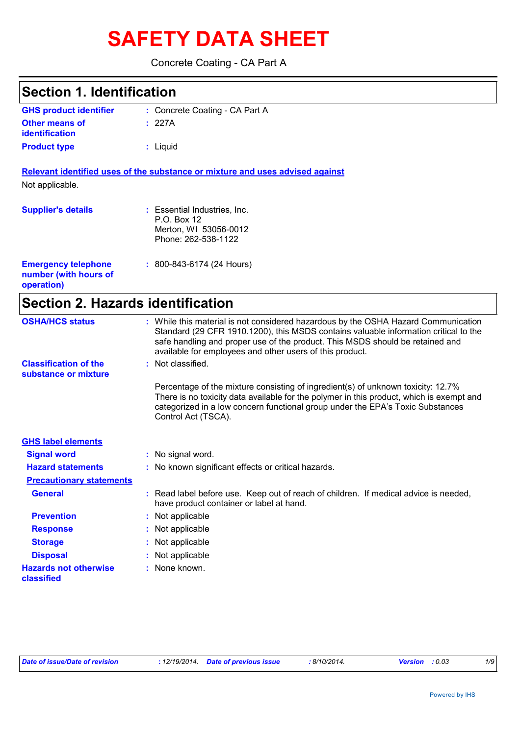# **SAFETY DATA SHEET**

Concrete Coating - CA Part A

| <b>Section 1. Identification</b>                                  |                                                                                                                                                                                                                                                                                                                         |
|-------------------------------------------------------------------|-------------------------------------------------------------------------------------------------------------------------------------------------------------------------------------------------------------------------------------------------------------------------------------------------------------------------|
| <b>GHS product identifier</b>                                     | : Concrete Coating - CA Part A                                                                                                                                                                                                                                                                                          |
| <b>Other means of</b><br><b>identification</b>                    | : 227A                                                                                                                                                                                                                                                                                                                  |
| <b>Product type</b>                                               | : Liquid                                                                                                                                                                                                                                                                                                                |
|                                                                   | Relevant identified uses of the substance or mixture and uses advised against                                                                                                                                                                                                                                           |
| Not applicable.                                                   |                                                                                                                                                                                                                                                                                                                         |
| <b>Supplier's details</b>                                         | : Essential Industries, Inc.<br>P.O. Box 12<br>Merton, WI 53056-0012<br>Phone: 262-538-1122                                                                                                                                                                                                                             |
| <b>Emergency telephone</b><br>number (with hours of<br>operation) | $: 800 - 843 - 6174 (24$ Hours)                                                                                                                                                                                                                                                                                         |
| <b>Section 2. Hazards identification</b>                          |                                                                                                                                                                                                                                                                                                                         |
| <b>OSHA/HCS status</b>                                            | : While this material is not considered hazardous by the OSHA Hazard Communication<br>Standard (29 CFR 1910.1200), this MSDS contains valuable information critical to the<br>safe handling and proper use of the product. This MSDS should be retained and<br>available for employees and other users of this product. |
| <b>Classification of the</b><br>substance or mixture              | Not classified.                                                                                                                                                                                                                                                                                                         |
|                                                                   | Percentage of the mixture consisting of ingredient(s) of unknown toxicity: 12.7%<br>There is no toxicity data available for the polymer in this product, which is exempt and<br>categorized in a low concern functional group under the EPA's Toxic Substances<br>Control Act (TSCA).                                   |
| <b>GHS label elements</b>                                         |                                                                                                                                                                                                                                                                                                                         |
| <b>Signal word</b>                                                | : No signal word.                                                                                                                                                                                                                                                                                                       |
| <b>Hazard statements</b>                                          | : No known significant effects or critical hazards.                                                                                                                                                                                                                                                                     |
| <b>Precautionary statements</b>                                   |                                                                                                                                                                                                                                                                                                                         |
| <b>General</b>                                                    | : Read label before use. Keep out of reach of children. If medical advice is needed,<br>have product container or label at hand.                                                                                                                                                                                        |
| <b>Prevention</b>                                                 | Not applicable                                                                                                                                                                                                                                                                                                          |
| <b>Response</b>                                                   | Not applicable                                                                                                                                                                                                                                                                                                          |
| <b>Storage</b>                                                    | Not applicable                                                                                                                                                                                                                                                                                                          |
| <b>Disposal</b>                                                   | Not applicable                                                                                                                                                                                                                                                                                                          |
| <b>Hazards not otherwise</b><br>classified                        | None known.                                                                                                                                                                                                                                                                                                             |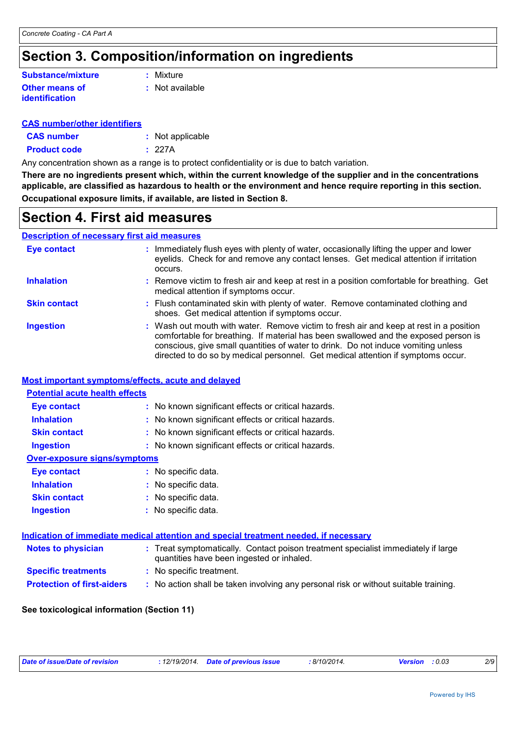### **Section 3. Composition/information on ingredients**

#### **Other means of identification Substance/mixture**

**:** Mixture

**:** Not available

#### **CAS number/other identifiers**

| <b>CAS number</b>   | : Not applicable |
|---------------------|------------------|
| <b>Product code</b> | : 227A           |

Any concentration shown as a range is to protect confidentiality or is due to batch variation.

**There are no ingredients present which, within the current knowledge of the supplier and in the concentrations applicable, are classified as hazardous to health or the environment and hence require reporting in this section. Occupational exposure limits, if available, are listed in Section 8.**

### **Section 4. First aid measures**

#### **Description of necessary first aid measures**

| <b>Eye contact</b>  | : Immediately flush eyes with plenty of water, occasionally lifting the upper and lower<br>eyelids. Check for and remove any contact lenses. Get medical attention if irritation<br>occurs.                                                                                                                                                            |
|---------------------|--------------------------------------------------------------------------------------------------------------------------------------------------------------------------------------------------------------------------------------------------------------------------------------------------------------------------------------------------------|
| <b>Inhalation</b>   | : Remove victim to fresh air and keep at rest in a position comfortable for breathing. Get<br>medical attention if symptoms occur.                                                                                                                                                                                                                     |
| <b>Skin contact</b> | : Flush contaminated skin with plenty of water. Remove contaminated clothing and<br>shoes. Get medical attention if symptoms occur.                                                                                                                                                                                                                    |
| <b>Ingestion</b>    | : Wash out mouth with water. Remove victim to fresh air and keep at rest in a position<br>comfortable for breathing. If material has been swallowed and the exposed person is<br>conscious, give small quantities of water to drink. Do not induce vomiting unless<br>directed to do so by medical personnel. Get medical attention if symptoms occur. |

#### **Most important symptoms/effects, acute and delayed**

| <b>Potential acute health effects</b> |                                                                                                                                |
|---------------------------------------|--------------------------------------------------------------------------------------------------------------------------------|
| Eye contact                           | : No known significant effects or critical hazards.                                                                            |
| <b>Inhalation</b>                     | : No known significant effects or critical hazards.                                                                            |
| <b>Skin contact</b>                   | : No known significant effects or critical hazards.                                                                            |
| <b>Ingestion</b>                      | : No known significant effects or critical hazards.                                                                            |
| <b>Over-exposure signs/symptoms</b>   |                                                                                                                                |
| Eye contact                           | : No specific data.                                                                                                            |
| <b>Inhalation</b>                     | : No specific data.                                                                                                            |
| <b>Skin contact</b>                   | : No specific data.                                                                                                            |
| <b>Ingestion</b>                      | : No specific data.                                                                                                            |
|                                       |                                                                                                                                |
|                                       | Indication of immediate medical attention and special treatment needed, if necessary                                           |
| <b>Notes to physician</b>             | : Treat symptomatically. Contact poison treatment specialist immediately if large<br>quantities have been ingested or inhaled. |
| <b>Specific treatments</b>            | : No specific treatment.                                                                                                       |
| <b>Protection of first-aiders</b>     | : No action shall be taken involving any personal risk or without suitable training.                                           |

#### **See toxicological information (Section 11)**

| Date of issue/Date of revision | : 12/19/2014 Date of previous issue | 8/10/2014. | <b>Version</b> : 0.03 | 2/9 |
|--------------------------------|-------------------------------------|------------|-----------------------|-----|
|                                |                                     |            |                       |     |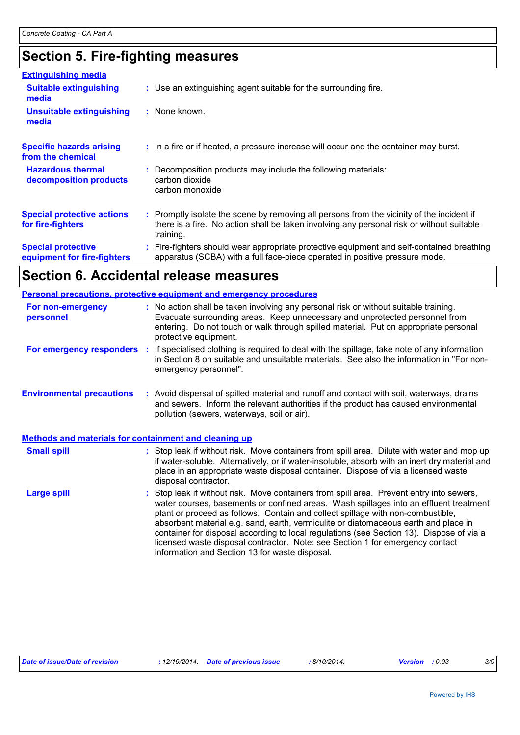### **Section 5. Fire-fighting measures**

| <b>Extinguishing media</b>                               |                                                                                                                                                                                                     |
|----------------------------------------------------------|-----------------------------------------------------------------------------------------------------------------------------------------------------------------------------------------------------|
| <b>Suitable extinguishing</b><br>media                   | : Use an extinguishing agent suitable for the surrounding fire.                                                                                                                                     |
| <b>Unsuitable extinguishing</b><br>media                 | : None known.                                                                                                                                                                                       |
| <b>Specific hazards arising</b><br>from the chemical     | : In a fire or if heated, a pressure increase will occur and the container may burst.                                                                                                               |
| <b>Hazardous thermal</b><br>decomposition products       | : Decomposition products may include the following materials:<br>carbon dioxide<br>carbon monoxide                                                                                                  |
| <b>Special protective actions</b><br>for fire-fighters   | : Promptly isolate the scene by removing all persons from the vicinity of the incident if<br>there is a fire. No action shall be taken involving any personal risk or without suitable<br>training. |
| <b>Special protective</b><br>equipment for fire-fighters | : Fire-fighters should wear appropriate protective equipment and self-contained breathing<br>apparatus (SCBA) with a full face-piece operated in positive pressure mode.                            |

### **Section 6. Accidental release measures**

| <b>Personal precautions, protective equipment and emergency procedures</b> |                                                                                                                                                                                                                                                                                                                                                                                                                                                                                                                                                                                          |  |  |  |
|----------------------------------------------------------------------------|------------------------------------------------------------------------------------------------------------------------------------------------------------------------------------------------------------------------------------------------------------------------------------------------------------------------------------------------------------------------------------------------------------------------------------------------------------------------------------------------------------------------------------------------------------------------------------------|--|--|--|
| For non-emergency<br>personnel                                             | : No action shall be taken involving any personal risk or without suitable training.<br>Evacuate surrounding areas. Keep unnecessary and unprotected personnel from<br>entering. Do not touch or walk through spilled material. Put on appropriate personal<br>protective equipment.                                                                                                                                                                                                                                                                                                     |  |  |  |
| For emergency responders :                                                 | If specialised clothing is required to deal with the spillage, take note of any information<br>in Section 8 on suitable and unsuitable materials. See also the information in "For non-<br>emergency personnel".                                                                                                                                                                                                                                                                                                                                                                         |  |  |  |
| <b>Environmental precautions</b>                                           | : Avoid dispersal of spilled material and runoff and contact with soil, waterways, drains<br>and sewers. Inform the relevant authorities if the product has caused environmental<br>pollution (sewers, waterways, soil or air).                                                                                                                                                                                                                                                                                                                                                          |  |  |  |
| Methods and materials for containment and cleaning up                      |                                                                                                                                                                                                                                                                                                                                                                                                                                                                                                                                                                                          |  |  |  |
| <b>Small spill</b>                                                         | : Stop leak if without risk. Move containers from spill area. Dilute with water and mop up<br>if water-soluble. Alternatively, or if water-insoluble, absorb with an inert dry material and<br>place in an appropriate waste disposal container. Dispose of via a licensed waste<br>disposal contractor.                                                                                                                                                                                                                                                                                 |  |  |  |
| <b>Large spill</b>                                                         | Stop leak if without risk. Move containers from spill area. Prevent entry into sewers,<br>water courses, basements or confined areas. Wash spillages into an effluent treatment<br>plant or proceed as follows. Contain and collect spillage with non-combustible,<br>absorbent material e.g. sand, earth, vermiculite or diatomaceous earth and place in<br>container for disposal according to local regulations (see Section 13). Dispose of via a<br>licensed waste disposal contractor. Note: see Section 1 for emergency contact<br>information and Section 13 for waste disposal. |  |  |  |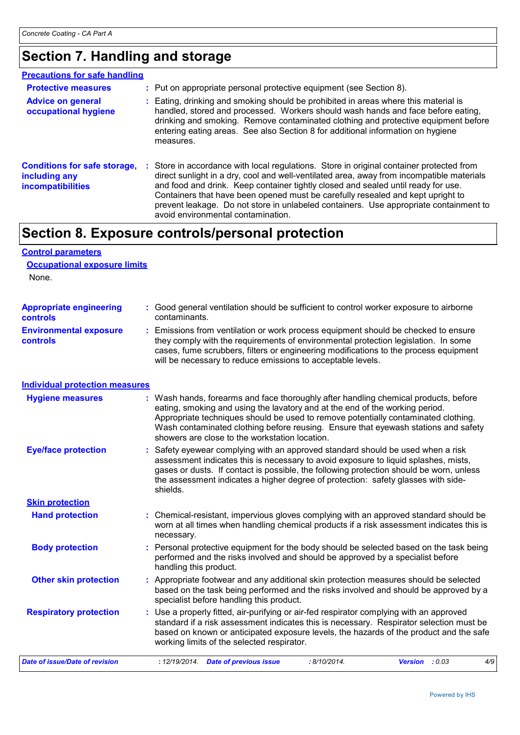### **Section 7. Handling and storage**

| <b>Precautions for safe handling</b>                                             |                                                                                                                                                                                                                                                                                                                                                                                                                                                                                              |
|----------------------------------------------------------------------------------|----------------------------------------------------------------------------------------------------------------------------------------------------------------------------------------------------------------------------------------------------------------------------------------------------------------------------------------------------------------------------------------------------------------------------------------------------------------------------------------------|
| <b>Protective measures</b>                                                       | : Put on appropriate personal protective equipment (see Section 8).                                                                                                                                                                                                                                                                                                                                                                                                                          |
| <b>Advice on general</b><br>occupational hygiene                                 | Eating, drinking and smoking should be prohibited in areas where this material is<br>handled, stored and processed. Workers should wash hands and face before eating,<br>drinking and smoking. Remove contaminated clothing and protective equipment before<br>entering eating areas. See also Section 8 for additional information on hygiene<br>measures.                                                                                                                                  |
| <b>Conditions for safe storage,</b><br>including any<br><b>incompatibilities</b> | : Store in accordance with local regulations. Store in original container protected from<br>direct sunlight in a dry, cool and well-ventilated area, away from incompatible materials<br>and food and drink. Keep container tightly closed and sealed until ready for use.<br>Containers that have been opened must be carefully resealed and kept upright to<br>prevent leakage. Do not store in unlabeled containers. Use appropriate containment to<br>avoid environmental contamination. |

## **Section 8. Exposure controls/personal protection**

#### **Control parameters Occupational exposure limits**

None.

| <b>Appropriate engineering</b>                   | : Good general ventilation should be sufficient to control worker exposure to airborne                                                                                                                                                                                                                                          |
|--------------------------------------------------|---------------------------------------------------------------------------------------------------------------------------------------------------------------------------------------------------------------------------------------------------------------------------------------------------------------------------------|
| <b>controls</b>                                  | contaminants.                                                                                                                                                                                                                                                                                                                   |
| <b>Environmental exposure</b><br><b>controls</b> | : Emissions from ventilation or work process equipment should be checked to ensure<br>they comply with the requirements of environmental protection legislation. In some<br>cases, fume scrubbers, filters or engineering modifications to the process equipment<br>will be necessary to reduce emissions to acceptable levels. |

#### **Individual protection measures**

| <b>Hygiene measures</b>        | : Wash hands, forearms and face thoroughly after handling chemical products, before<br>eating, smoking and using the lavatory and at the end of the working period.<br>Appropriate techniques should be used to remove potentially contaminated clothing.<br>Wash contaminated clothing before reusing. Ensure that eyewash stations and safety<br>showers are close to the workstation location. |     |
|--------------------------------|---------------------------------------------------------------------------------------------------------------------------------------------------------------------------------------------------------------------------------------------------------------------------------------------------------------------------------------------------------------------------------------------------|-----|
| <b>Eye/face protection</b>     | : Safety eyewear complying with an approved standard should be used when a risk<br>assessment indicates this is necessary to avoid exposure to liquid splashes, mists,<br>gases or dusts. If contact is possible, the following protection should be worn, unless<br>the assessment indicates a higher degree of protection: safety glasses with side-<br>shields.                                |     |
| <b>Skin protection</b>         |                                                                                                                                                                                                                                                                                                                                                                                                   |     |
| <b>Hand protection</b>         | : Chemical-resistant, impervious gloves complying with an approved standard should be<br>worn at all times when handling chemical products if a risk assessment indicates this is<br>necessary.                                                                                                                                                                                                   |     |
| <b>Body protection</b>         | : Personal protective equipment for the body should be selected based on the task being<br>performed and the risks involved and should be approved by a specialist before<br>handling this product.                                                                                                                                                                                               |     |
| <b>Other skin protection</b>   | : Appropriate footwear and any additional skin protection measures should be selected<br>based on the task being performed and the risks involved and should be approved by a<br>specialist before handling this product.                                                                                                                                                                         |     |
| <b>Respiratory protection</b>  | : Use a properly fitted, air-purifying or air-fed respirator complying with an approved<br>standard if a risk assessment indicates this is necessary. Respirator selection must be<br>based on known or anticipated exposure levels, the hazards of the product and the safe<br>working limits of the selected respirator.                                                                        |     |
| Date of issue/Date of revision | : 8/10/2014.<br>: 12/19/2014.<br><b>Date of previous issue</b><br>Version : 0.03                                                                                                                                                                                                                                                                                                                  | 4/9 |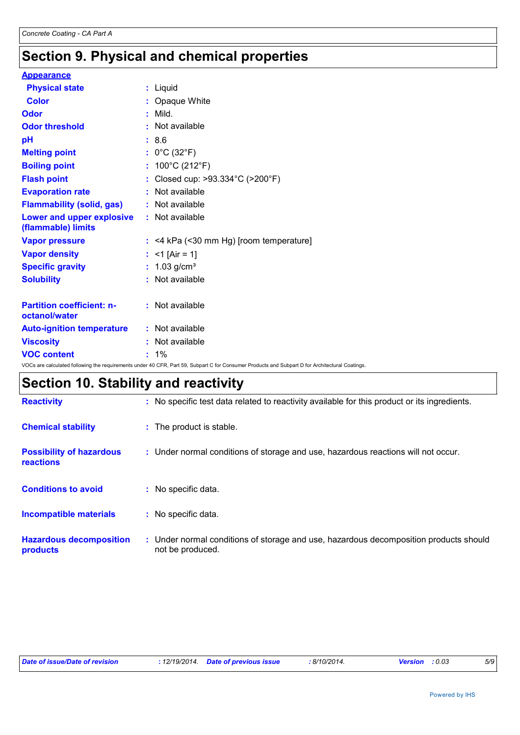## **Section 9. Physical and chemical properties**

| <b>Appearance</b>                                                                                                                               |         |                                           |
|-------------------------------------------------------------------------------------------------------------------------------------------------|---------|-------------------------------------------|
| <b>Physical state</b>                                                                                                                           |         | : Liquid                                  |
| <b>Color</b>                                                                                                                                    |         | : Opaque White                            |
| Odor                                                                                                                                            |         | $:$ Mild.                                 |
| <b>Odor threshold</b>                                                                                                                           |         | : Not available                           |
| pH                                                                                                                                              | : 8.6   |                                           |
| <b>Melting point</b>                                                                                                                            |         | : $0^{\circ}$ C (32 $^{\circ}$ F)         |
| <b>Boiling point</b>                                                                                                                            |         | : $100^{\circ}$ C (212 $^{\circ}$ F)      |
| <b>Flash point</b>                                                                                                                              |         | : Closed cup: >93.334°C (>200°F)          |
| <b>Evaporation rate</b>                                                                                                                         |         | : Not available                           |
| <b>Flammability (solid, gas)</b>                                                                                                                |         | : Not available                           |
| Lower and upper explosive<br>(flammable) limits                                                                                                 |         | : Not available                           |
| <b>Vapor pressure</b>                                                                                                                           |         | $:$ <4 kPa (<30 mm Hg) [room temperature] |
| <b>Vapor density</b>                                                                                                                            |         | : $<$ 1 [Air = 1]                         |
| <b>Specific gravity</b>                                                                                                                         |         | : $1.03$ g/cm <sup>3</sup>                |
| <b>Solubility</b>                                                                                                                               |         | : Not available                           |
| <b>Partition coefficient: n-</b><br>octanol/water                                                                                               |         | : Not available                           |
| <b>Auto-ignition temperature</b>                                                                                                                |         | : Not available                           |
| <b>Viscosity</b>                                                                                                                                |         | : Not available                           |
| <b>VOC content</b>                                                                                                                              | $: 1\%$ |                                           |
| VOCs are calculated following the requirements under 40 CFR, Part 59, Subpart C for Consumer Products and Subpart D for Architectural Coatings. |         |                                           |

# **Section 10. Stability and reactivity**

| <b>Reactivity</b>                            | : No specific test data related to reactivity available for this product or its ingredients.              |
|----------------------------------------------|-----------------------------------------------------------------------------------------------------------|
| <b>Chemical stability</b>                    | : The product is stable.                                                                                  |
| <b>Possibility of hazardous</b><br>reactions | : Under normal conditions of storage and use, hazardous reactions will not occur.                         |
| <b>Conditions to avoid</b>                   | : No specific data.                                                                                       |
| <b>Incompatible materials</b>                | : No specific data.                                                                                       |
| <b>Hazardous decomposition</b><br>products   | : Under normal conditions of storage and use, hazardous decomposition products should<br>not be produced. |

| Date of issue/Date of revision | : 12/19/2014 Date of previous issue |  | : 8/10/2014. | <b>Version</b> : 0.03 |  | 5/9 |
|--------------------------------|-------------------------------------|--|--------------|-----------------------|--|-----|
|--------------------------------|-------------------------------------|--|--------------|-----------------------|--|-----|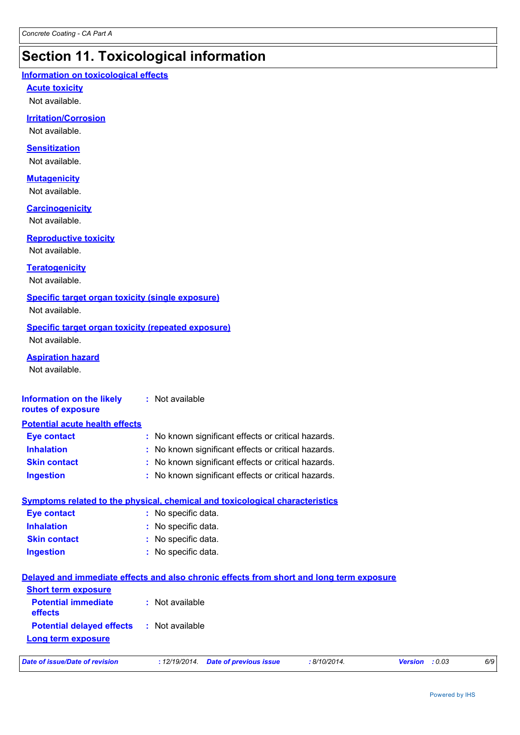### **Section 11. Toxicological information**

#### **Information on toxicological effects**

**Acute toxicity**

Not available.

#### **Irritation/Corrosion**

Not available.

#### **Sensitization**

Not available.

#### **Mutagenicity**

Not available.

#### **Carcinogenicity**

Not available.

#### **Reproductive toxicity**

Not available.

#### **Teratogenicity**

Not available.

#### **Specific target organ toxicity (single exposure)**

Not available.

#### **Specific target organ toxicity (repeated exposure)** Not available.

**Aspiration hazard**

Not available.

#### **Information on the likely routes of exposure :** Not available

| <b>Potential acute health effects</b> |                                                     |
|---------------------------------------|-----------------------------------------------------|
| <b>Eye contact</b>                    | : No known significant effects or critical hazards. |
| <b>Inhalation</b>                     | : No known significant effects or critical hazards. |
| <b>Skin contact</b>                   | : No known significant effects or critical hazards. |
| <b>Ingestion</b>                      | : No known significant effects or critical hazards. |

#### **Symptoms related to the physical, chemical and toxicological characteristics**

| <b>Eye contact</b>  | : No specific data. |
|---------------------|---------------------|
| <b>Inhalation</b>   | : No specific data. |
| <b>Skin contact</b> | : No specific data. |
| <b>Ingestion</b>    | : No specific data. |

### **Delayed and immediate effects and also chronic effects from short and long term exposure**

| <b>Short term exposure</b>            |                 |
|---------------------------------------|-----------------|
| <b>Potential immediate</b><br>effects | : Not available |
| <b>Potential delayed effects</b>      | : Not available |
| <b>Long term exposure</b>             |                 |

| Date of issue/Date of revision |
|--------------------------------|
|--------------------------------|

*Date of issue/Date of revision* **:** *12/19/2014. Date of previous issue : 8/10/2014. Version : 0.03 6/9*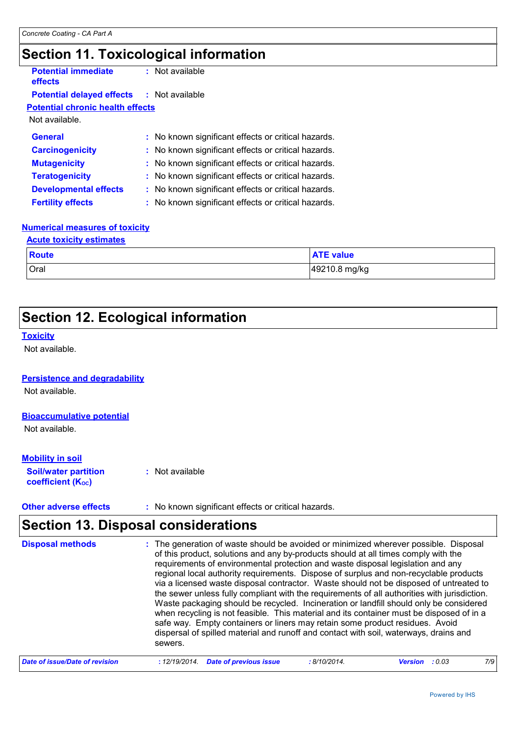### **Section 11. Toxicological information**

| <b>Potential immediate</b><br>effects            | $:$ Not available                                   |
|--------------------------------------------------|-----------------------------------------------------|
| <b>Potential delayed effects : Not available</b> |                                                     |
| <b>Potential chronic health effects</b>          |                                                     |
| Not available.                                   |                                                     |
| General                                          | : No known significant effects or critical hazards. |
| <b>Carcinogenicity</b>                           | : No known significant effects or critical hazards. |
| <b>Mutagenicity</b>                              | : No known significant effects or critical hazards. |
| <b>Teratogenicity</b>                            | : No known significant effects or critical hazards. |
| <b>Developmental effects</b>                     | : No known significant effects or critical hazards. |
| <b>Fertility effects</b>                         | : No known significant effects or critical hazards. |
|                                                  |                                                     |

#### **Numerical measures of toxicity**

| <b>Acute toxicity estimates</b> |                  |
|---------------------------------|------------------|
| Route                           | <b>ATE value</b> |
| <b>Oral</b>                     | 49210.8 mg/kg    |

### **Section 12. Ecological information**

#### **Toxicity**

Not available.

#### **Persistence and degradability**

Not available.

#### **Bioaccumulative potential**

Not available.

#### **Mobility in soil**

**Soil/water partition coefficient (K**<sub>oc</sub>) **:** Not available

**Other adverse effects** : No known significant effects or critical hazards.

### **Section 13. Disposal considerations**

| <b>Disposal methods</b>        | : The generation of waste should be avoided or minimized wherever possible. Disposal<br>of this product, solutions and any by-products should at all times comply with the<br>requirements of environmental protection and waste disposal legislation and any<br>regional local authority requirements. Dispose of surplus and non-recyclable products<br>via a licensed waste disposal contractor. Waste should not be disposed of untreated to<br>the sewer unless fully compliant with the requirements of all authorities with jurisdiction.<br>Waste packaging should be recycled. Incineration or landfill should only be considered<br>when recycling is not feasible. This material and its container must be disposed of in a<br>safe way. Empty containers or liners may retain some product residues. Avoid<br>dispersal of spilled material and runoff and contact with soil, waterways, drains and<br>sewers. |            |                            |     |
|--------------------------------|----------------------------------------------------------------------------------------------------------------------------------------------------------------------------------------------------------------------------------------------------------------------------------------------------------------------------------------------------------------------------------------------------------------------------------------------------------------------------------------------------------------------------------------------------------------------------------------------------------------------------------------------------------------------------------------------------------------------------------------------------------------------------------------------------------------------------------------------------------------------------------------------------------------------------|------------|----------------------------|-----|
| Date of issue/Date of revision | <b>Date of previous issue</b><br>: 12/19/2014.                                                                                                                                                                                                                                                                                                                                                                                                                                                                                                                                                                                                                                                                                                                                                                                                                                                                             | :8/10/2014 | - : 0 03<br><b>Version</b> | 7/9 |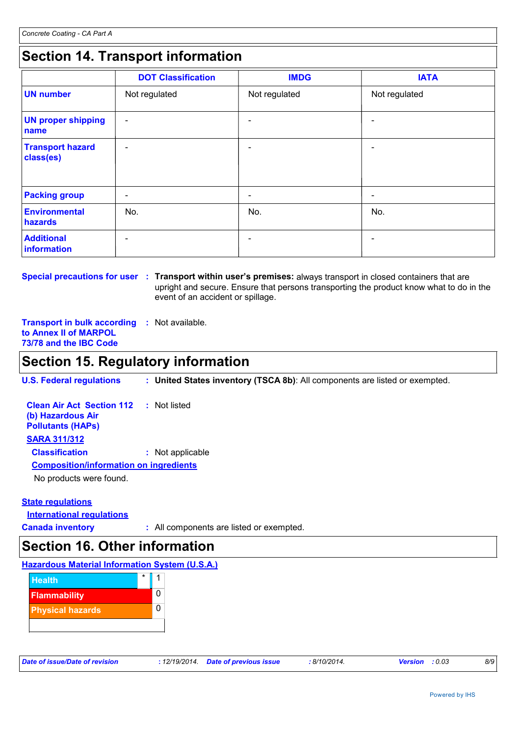### **Section 14. Transport information**

|                                      | <b>DOT Classification</b> | <b>IMDG</b>   | <b>IATA</b>              |
|--------------------------------------|---------------------------|---------------|--------------------------|
| <b>UN number</b>                     | Not regulated             | Not regulated | Not regulated            |
| <b>UN proper shipping</b><br>name    | $\overline{\phantom{a}}$  |               |                          |
| <b>Transport hazard</b><br>class(es) | $\overline{\phantom{0}}$  |               |                          |
| <b>Packing group</b>                 | $\overline{\phantom{a}}$  | -             | $\overline{\phantom{a}}$ |
| Environmental<br>hazards             | No.                       | No.           | No.                      |
| <b>Additional</b><br>information     | $\overline{\phantom{0}}$  |               |                          |

**Special precautions for user : Transport within user's premises: always transport in closed containers that are** upright and secure. Ensure that persons transporting the product know what to do in the event of an accident or spillage.

**Transport in bulk according :** Not available. **to Annex II of MARPOL 73/78 and the IBC Code**

### **Section 15. Regulatory information**

**U.S. Federal regulations : United States inventory (TSCA 8b)**: All components are listed or exempted.

| <b>Clean Air Act Section 112</b><br>(b) Hazardous Air<br><b>Pollutants (HAPs)</b> | : Not listed     |
|-----------------------------------------------------------------------------------|------------------|
| <b>SARA 311/312</b>                                                               |                  |
| <b>Classification</b>                                                             | : Not applicable |
| <b>Composition/information on ingredients</b>                                     |                  |
| No products were found.                                                           |                  |

#### **State regulations**

**International regulations**

**Canada inventory :** All components are listed or exempted.

### **Section 16. Other information**

#### **Hazardous Material Information System (U.S.A.)**



| Date of issue/Date of revision |  | : 12/19/2014. Date of previous issue | : 8/10/2014. | <b>Version</b> : 0.03 |  |
|--------------------------------|--|--------------------------------------|--------------|-----------------------|--|
|--------------------------------|--|--------------------------------------|--------------|-----------------------|--|